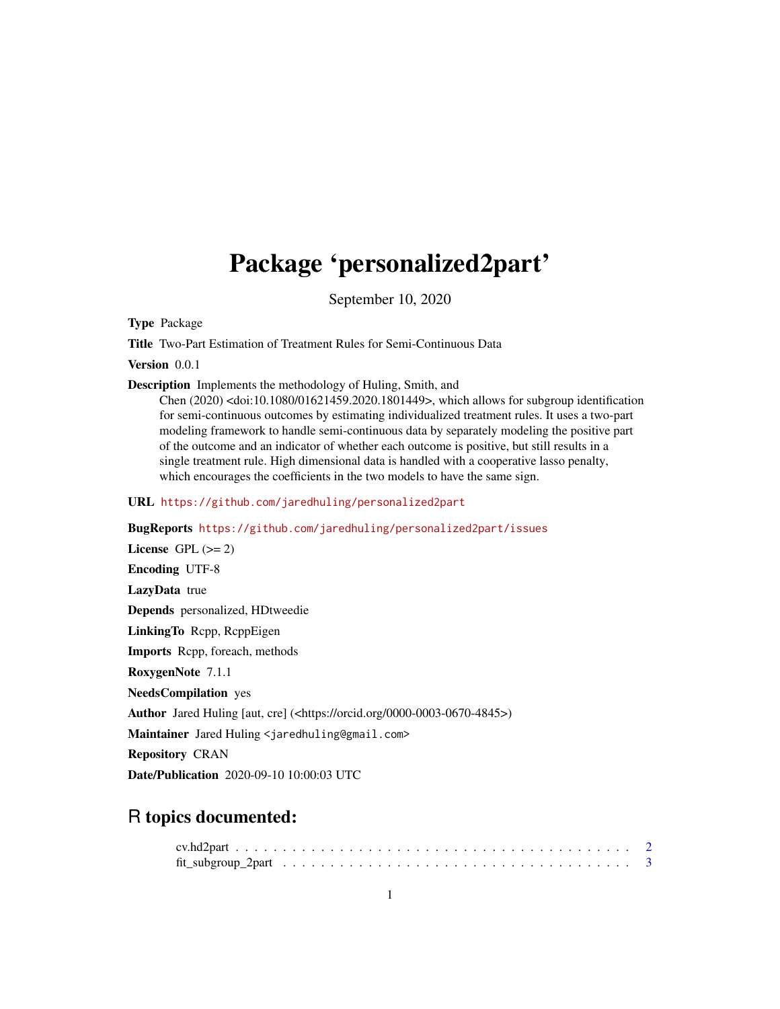# <span id="page-0-0"></span>Package 'personalized2part'

September 10, 2020

Type Package

Title Two-Part Estimation of Treatment Rules for Semi-Continuous Data

Version 0.0.1

Description Implements the methodology of Huling, Smith, and

Chen (2020) <doi:10.1080/01621459.2020.1801449>, which allows for subgroup identification for semi-continuous outcomes by estimating individualized treatment rules. It uses a two-part modeling framework to handle semi-continuous data by separately modeling the positive part of the outcome and an indicator of whether each outcome is positive, but still results in a single treatment rule. High dimensional data is handled with a cooperative lasso penalty, which encourages the coefficients in the two models to have the same sign.

URL <https://github.com/jaredhuling/personalized2part>

BugReports <https://github.com/jaredhuling/personalized2part/issues>

License GPL  $(>= 2)$ Encoding UTF-8 LazyData true Depends personalized, HDtweedie LinkingTo Rcpp, RcppEigen Imports Rcpp, foreach, methods RoxygenNote 7.1.1 NeedsCompilation yes Author Jared Huling [aut, cre] (<https://orcid.org/0000-0003-0670-4845>) Maintainer Jared Huling <jaredhuling@gmail.com> Repository CRAN Date/Publication 2020-09-10 10:00:03 UTC

# R topics documented: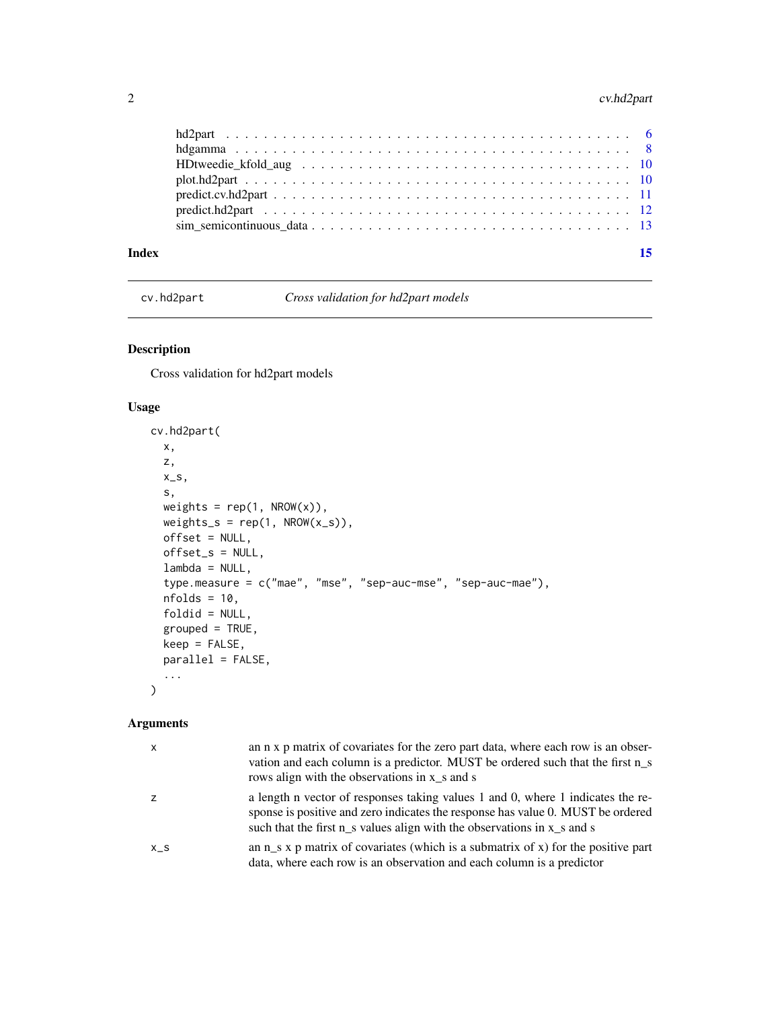#### <span id="page-1-0"></span>2 cv.hd2part

| Index | 15 |
|-------|----|

<span id="page-1-1"></span>cv.hd2part *Cross validation for hd2part models*

#### Description

Cross validation for hd2part models

#### Usage

```
cv.hd2part(
 x,
 z,
  x_s,
 s,
 weights = rep(1, \text{ NROW}(x)),weights_s = rep(1, NROW(x_s)),offset = NULL,
 offset_s = NULL,
  lambda = NULL,type.measure = c("mae", "mse", "sep-auc-mse", "sep-auc-mae"),
  nfolds = 10,
  foldid = NULL,
  grouped = TRUE,keep = FALSE,
 parallel = FALSE,
  ...
)
```
#### Arguments

| $\mathsf{x}$ | an n x p matrix of covariates for the zero part data, where each row is an obser-<br>vation and each column is a predictor. MUST be ordered such that the first n_s<br>rows align with the observations in x_s and s                              |
|--------------|---------------------------------------------------------------------------------------------------------------------------------------------------------------------------------------------------------------------------------------------------|
|              | a length n vector of responses taking values 1 and 0, where 1 indicates the re-<br>sponse is positive and zero indicates the response has value 0. MUST be ordered<br>such that the first $n_s$ values align with the observations in $x_s$ and s |
| $X_S$        | an $n_s$ x p matrix of covariates (which is a submatrix of x) for the positive part<br>data, where each row is an observation and each column is a predictor                                                                                      |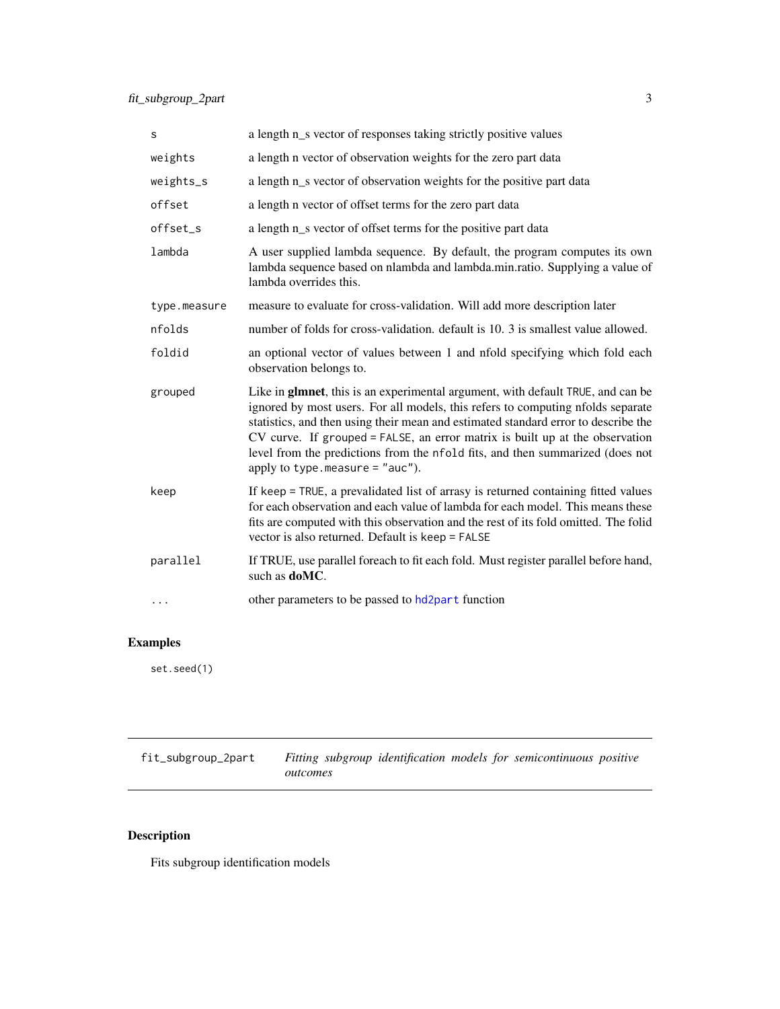<span id="page-2-0"></span>

| S            | a length n_s vector of responses taking strictly positive values                                                                                                                                                                                                                                                                                                                                                                                                |
|--------------|-----------------------------------------------------------------------------------------------------------------------------------------------------------------------------------------------------------------------------------------------------------------------------------------------------------------------------------------------------------------------------------------------------------------------------------------------------------------|
| weights      | a length n vector of observation weights for the zero part data                                                                                                                                                                                                                                                                                                                                                                                                 |
| weights_s    | a length n_s vector of observation weights for the positive part data                                                                                                                                                                                                                                                                                                                                                                                           |
| offset       | a length n vector of offset terms for the zero part data                                                                                                                                                                                                                                                                                                                                                                                                        |
| offset_s     | a length n_s vector of offset terms for the positive part data                                                                                                                                                                                                                                                                                                                                                                                                  |
| lambda       | A user supplied lambda sequence. By default, the program computes its own<br>lambda sequence based on nlambda and lambda.min.ratio. Supplying a value of<br>lambda overrides this.                                                                                                                                                                                                                                                                              |
| type.measure | measure to evaluate for cross-validation. Will add more description later                                                                                                                                                                                                                                                                                                                                                                                       |
| nfolds       | number of folds for cross-validation. default is 10. 3 is smallest value allowed.                                                                                                                                                                                                                                                                                                                                                                               |
| foldid       | an optional vector of values between 1 and nfold specifying which fold each<br>observation belongs to.                                                                                                                                                                                                                                                                                                                                                          |
| grouped      | Like in glmnet, this is an experimental argument, with default TRUE, and can be<br>ignored by most users. For all models, this refers to computing nfolds separate<br>statistics, and then using their mean and estimated standard error to describe the<br>CV curve. If grouped = FALSE, an error matrix is built up at the observation<br>level from the predictions from the nfold fits, and then summarized (does not<br>apply to type. measure $=$ "auc"). |
| keep         | If keep = TRUE, a prevalidated list of arrasy is returned containing fitted values<br>for each observation and each value of lambda for each model. This means these<br>fits are computed with this observation and the rest of its fold omitted. The folid<br>vector is also returned. Default is keep = FALSE                                                                                                                                                 |
| parallel     | If TRUE, use parallel foreach to fit each fold. Must register parallel before hand,<br>such as doMC.                                                                                                                                                                                                                                                                                                                                                            |
| $\cdots$     | other parameters to be passed to hd2part function                                                                                                                                                                                                                                                                                                                                                                                                               |

# Examples

set.seed(1)

fit\_subgroup\_2part *Fitting subgroup identification models for semicontinuous positive outcomes*

# Description

Fits subgroup identification models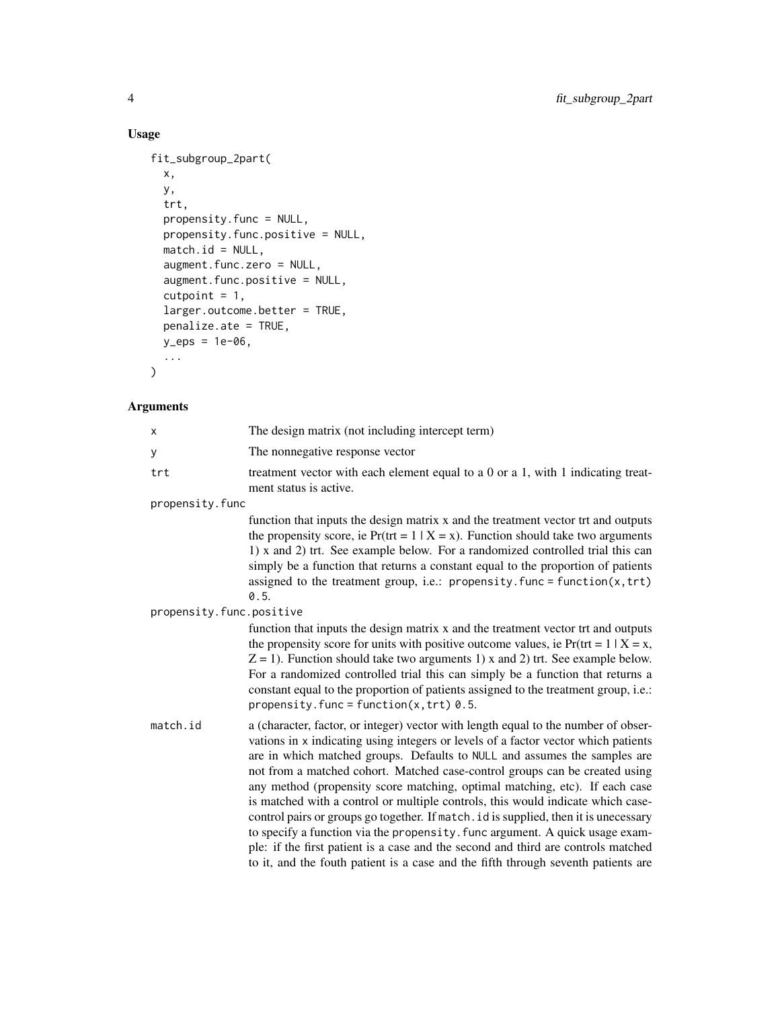```
fit_subgroup_2part(
  x,
 y,
  trt,
 propensity.func = NULL,
 propensity.func.positive = NULL,
 match.id = NULL,augment.func.zero = NULL,
  augment.func.positive = NULL,
  cutpoint = 1,
 larger.outcome.better = TRUE,
 penalize.ate = TRUE,
 y_eps = 1e-06,
  ...
\mathcal{L}
```
### Arguments

| X                        | The design matrix (not including intercept term)                                                                                                                                                                                                                                                                                                                                                                                                                                                                                                                                                                                                                                                                                                                                                                                                         |
|--------------------------|----------------------------------------------------------------------------------------------------------------------------------------------------------------------------------------------------------------------------------------------------------------------------------------------------------------------------------------------------------------------------------------------------------------------------------------------------------------------------------------------------------------------------------------------------------------------------------------------------------------------------------------------------------------------------------------------------------------------------------------------------------------------------------------------------------------------------------------------------------|
| y                        | The nonnegative response vector                                                                                                                                                                                                                                                                                                                                                                                                                                                                                                                                                                                                                                                                                                                                                                                                                          |
| trt                      | treatment vector with each element equal to a 0 or a 1, with 1 indicating treat-<br>ment status is active.                                                                                                                                                                                                                                                                                                                                                                                                                                                                                                                                                                                                                                                                                                                                               |
| propensity.func          |                                                                                                                                                                                                                                                                                                                                                                                                                                                                                                                                                                                                                                                                                                                                                                                                                                                          |
|                          | function that inputs the design matrix x and the treatment vector trt and outputs<br>the propensity score, ie $Pr(tr = 1   X = x)$ . Function should take two arguments<br>1) x and 2) trt. See example below. For a randomized controlled trial this can<br>simply be a function that returns a constant equal to the proportion of patients<br>assigned to the treatment group, i.e.: propensity. func = $function(x, trt)$<br>0.5.                                                                                                                                                                                                                                                                                                                                                                                                                    |
| propensity.func.positive |                                                                                                                                                                                                                                                                                                                                                                                                                                                                                                                                                                                                                                                                                                                                                                                                                                                          |
|                          | function that inputs the design matrix x and the treatment vector trt and outputs<br>the propensity score for units with positive outcome values, ie $Pr(tr = 1   X = x)$ ,<br>$Z = 1$ ). Function should take two arguments 1) x and 2) trt. See example below.<br>For a randomized controlled trial this can simply be a function that returns a<br>constant equal to the proportion of patients assigned to the treatment group, i.e.:<br>propensity. func = function( $x$ , trt) 0.5.                                                                                                                                                                                                                                                                                                                                                                |
| match.id                 | a (character, factor, or integer) vector with length equal to the number of obser-<br>vations in x indicating using integers or levels of a factor vector which patients<br>are in which matched groups. Defaults to NULL and assumes the samples are<br>not from a matched cohort. Matched case-control groups can be created using<br>any method (propensity score matching, optimal matching, etc). If each case<br>is matched with a control or multiple controls, this would indicate which case-<br>control pairs or groups go together. If match. id is supplied, then it is unecessary<br>to specify a function via the propensity. func argument. A quick usage exam-<br>ple: if the first patient is a case and the second and third are controls matched<br>to it, and the fouth patient is a case and the fifth through seventh patients are |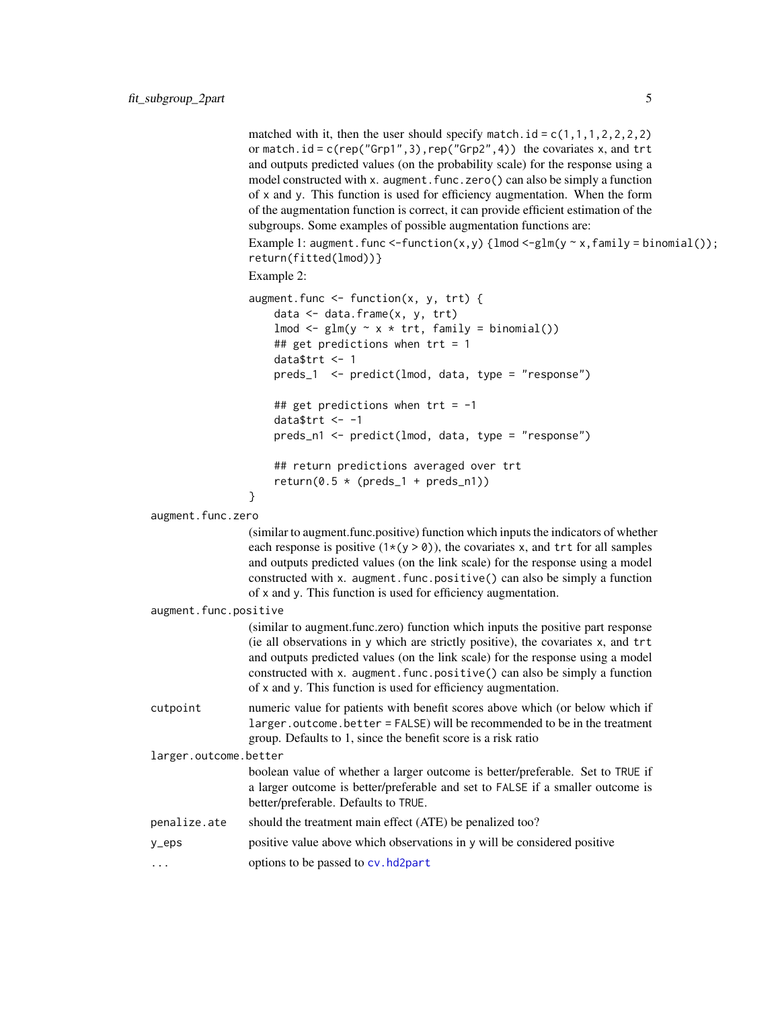<span id="page-4-0"></span>matched with it, then the user should specify match.id =  $c(1,1,1,2,2,2,2)$ or match.id =  $c$ (rep("Grp1", 3), rep("Grp2", 4)) the covariates x, and trt and outputs predicted values (on the probability scale) for the response using a model constructed with x. augment. func.zero() can also be simply a function of x and y. This function is used for efficiency augmentation. When the form of the augmentation function is correct, it can provide efficient estimation of the subgroups. Some examples of possible augmentation functions are:

Example 1: augment.func <-function(x,y) { $lmod <-glm(y \sim x, family = binomial())$ ; return(fitted(lmod))}

Example 2:

```
augment.func \leq function(x, y, trt) {
   data <- data.frame(x, y, trt)
    lmod \leq glm(y \sim x \star trt, family = binomial())
    ## get predictions when trt = 1data$trt <- 1
    preds_1 <- predict(lmod, data, type = "response")
    ## get predictions when tr t = -1datatrt <- -1
    preds_n1 <- predict(lmod, data, type = "response")
    ## return predictions averaged over trt
```

```
return(0.5 * (preds_1 + preds_n1))
```

```
}
```
augment.func.zero

(similar to augment.func.positive) function which inputs the indicators of whether each response is positive  $(1 \times (y > 0))$ , the covariates x, and trt for all samples and outputs predicted values (on the link scale) for the response using a model constructed with x. augment.func.positive() can also be simply a function of x and y. This function is used for efficiency augmentation.

augment.func.positive

(similar to augment.func.zero) function which inputs the positive part response (ie all observations in y which are strictly positive), the covariates x, and trt and outputs predicted values (on the link scale) for the response using a model constructed with x. augment.func.positive() can also be simply a function of x and y. This function is used for efficiency augmentation.

cutpoint numeric value for patients with benefit scores above which (or below which if larger.outcome.better = FALSE) will be recommended to be in the treatment group. Defaults to 1, since the benefit score is a risk ratio

larger.outcome.better

boolean value of whether a larger outcome is better/preferable. Set to TRUE if a larger outcome is better/preferable and set to FALSE if a smaller outcome is better/preferable. Defaults to TRUE.

penalize.ate should the treatment main effect (ATE) be penalized too?

```
y_eps positive value above which observations in y will be considered positive
```
... options to be passed to [cv.hd2part](#page-1-1)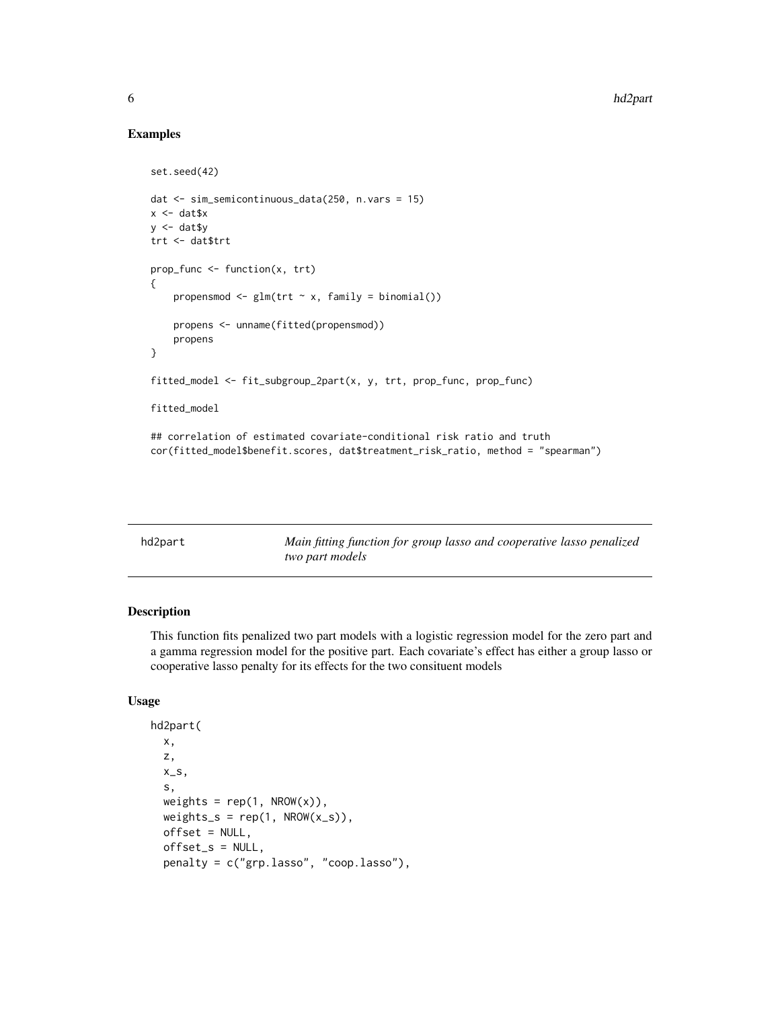#### Examples

```
set.seed(42)
dat <- sim_semicontinuous_data(250, n.vars = 15)
x < - dat$x
y \leq - dat$y
trt <- dat$trt
prop_func <- function(x, trt)
{
    propensmod \leq glm(trt \sim x, family = binomial())
    propens <- unname(fitted(propensmod))
    propens
}
fitted_model <- fit_subgroup_2part(x, y, trt, prop_func, prop_func)
fitted_model
## correlation of estimated covariate-conditional risk ratio and truth
cor(fitted_model$benefit.scores, dat$treatment_risk_ratio, method = "spearman")
```
<span id="page-5-1"></span>

| hd2part | Main fitting function for group lasso and cooperative lasso penalized |
|---------|-----------------------------------------------------------------------|
|         | two part models                                                       |

#### Description

This function fits penalized two part models with a logistic regression model for the zero part and a gamma regression model for the positive part. Each covariate's effect has either a group lasso or cooperative lasso penalty for its effects for the two consituent models

#### Usage

```
hd2part(
  x,
  z,
  x_s,
  s,
  weights = rep(1, \text{ NROW}(x)),weights_s = rep(1, \text{ NROW}(x_s)),offset = NULL,offset_s = NULL,
  penalty = c("grp.lasso", "coop.lasso"),
```
<span id="page-5-0"></span>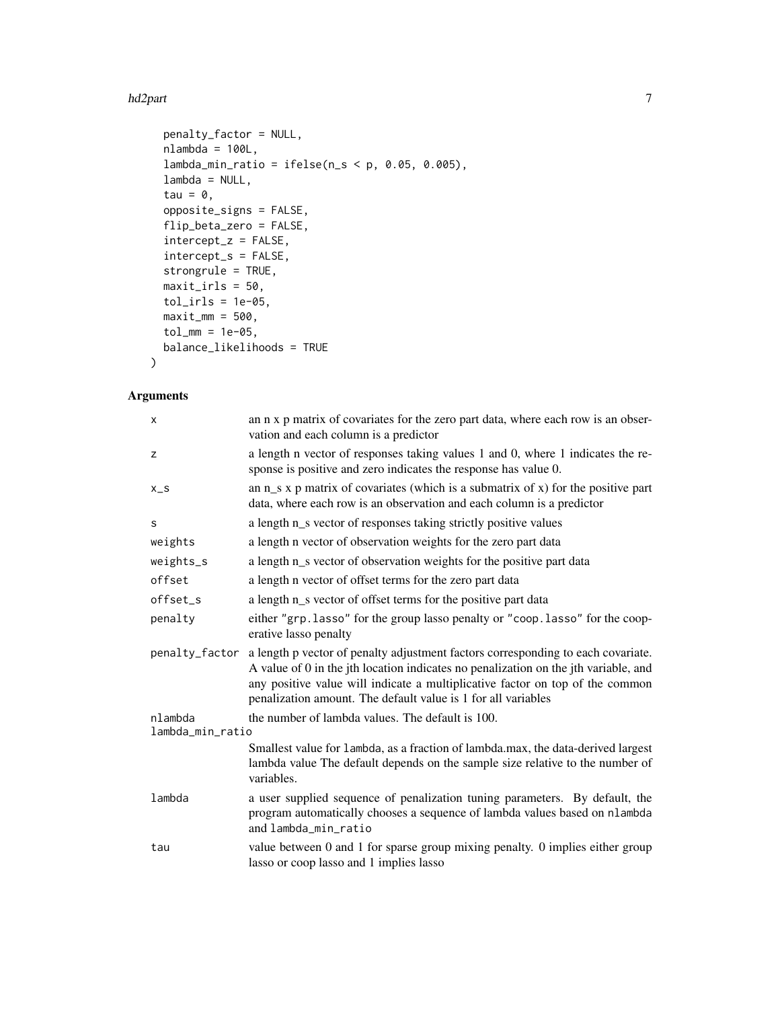#### hd2part 7 and 7 and 7 and 7 and 7 and 7 and 7 and 7 and 7 and 7 and 7 and 7 and 7 and 7 and 7 and 7 and 7 and 7

```
penalty_factor = NULL,
 nlambda = 100L,
 lambda_min_ratio = ifelse(n_s < p, 0.05, 0.005),
 lambda = NULL,
  tau = \theta,
 opposite_signs = FALSE,
  flip_beta_zero = FALSE,
  intercept_z = FALSE,
 intercept_s = FALSE,
 strongrule = TRUE,
 maxit\_irls = 50,
 tol_irls = 1e-05,maxit\_mm = 500,tol_{mm} = 1e-05,balance_likelihoods = TRUE
\mathcal{L}
```
### Arguments

| X                           | an n x p matrix of covariates for the zero part data, where each row is an obser-<br>vation and each column is a predictor                                                                                                                                                                                                |
|-----------------------------|---------------------------------------------------------------------------------------------------------------------------------------------------------------------------------------------------------------------------------------------------------------------------------------------------------------------------|
| z                           | a length n vector of responses taking values 1 and 0, where 1 indicates the re-<br>sponse is positive and zero indicates the response has value 0.                                                                                                                                                                        |
| $X_S$                       | an $n_s$ x p matrix of covariates (which is a submatrix of x) for the positive part<br>data, where each row is an observation and each column is a predictor                                                                                                                                                              |
| S                           | a length n_s vector of responses taking strictly positive values                                                                                                                                                                                                                                                          |
| weights                     | a length n vector of observation weights for the zero part data                                                                                                                                                                                                                                                           |
| weights_s                   | a length n_s vector of observation weights for the positive part data                                                                                                                                                                                                                                                     |
| offset                      | a length n vector of offset terms for the zero part data                                                                                                                                                                                                                                                                  |
| offset_s                    | a length n_s vector of offset terms for the positive part data                                                                                                                                                                                                                                                            |
| penalty                     | either "grp. lasso" for the group lasso penalty or "coop. lasso" for the coop-<br>erative lasso penalty                                                                                                                                                                                                                   |
| penalty_factor              | a length p vector of penalty adjustment factors corresponding to each covariate.<br>A value of 0 in the jth location indicates no penalization on the jth variable, and<br>any positive value will indicate a multiplicative factor on top of the common<br>penalization amount. The default value is 1 for all variables |
| nlambda<br>lambda_min_ratio | the number of lambda values. The default is 100.                                                                                                                                                                                                                                                                          |
|                             | Smallest value for lambda, as a fraction of lambda.max, the data-derived largest<br>lambda value The default depends on the sample size relative to the number of<br>variables.                                                                                                                                           |
| lambda                      | a user supplied sequence of penalization tuning parameters. By default, the<br>program automatically chooses a sequence of lambda values based on nlambda<br>and lambda min ratio                                                                                                                                         |
| tau                         | value between 0 and 1 for sparse group mixing penalty. 0 implies either group<br>lasso or coop lasso and 1 implies lasso                                                                                                                                                                                                  |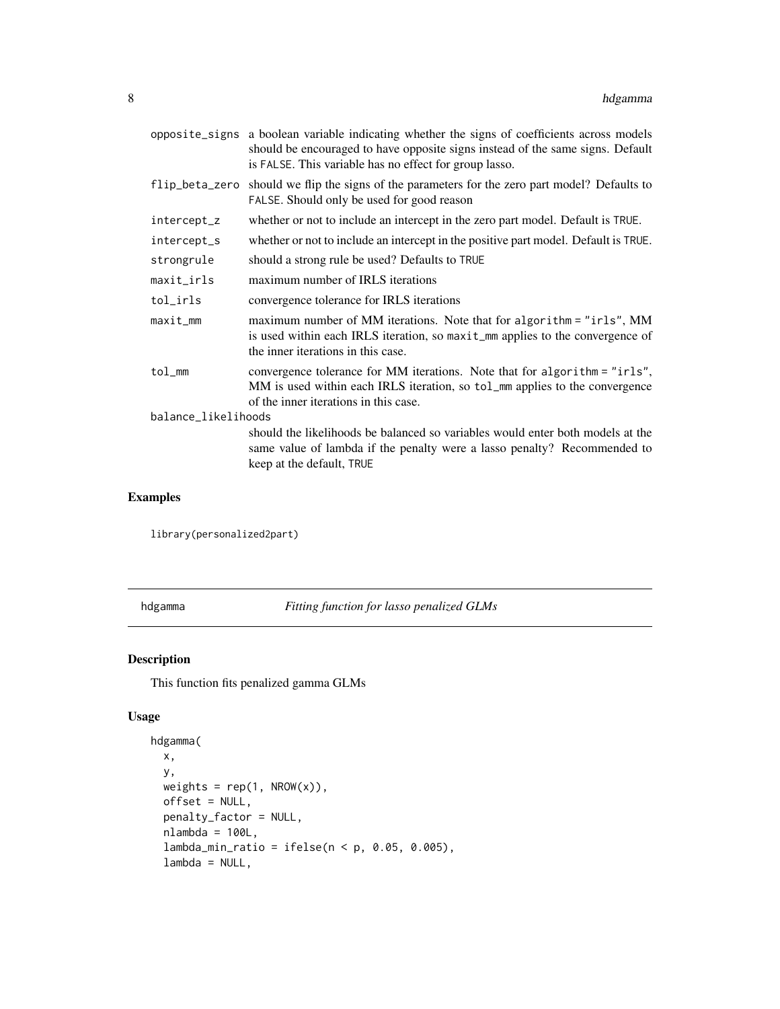<span id="page-7-0"></span>

|                | opposite_signs a boolean variable indicating whether the signs of coefficients across models<br>should be encouraged to have opposite signs instead of the same signs. Default<br>is FALSE. This variable has no effect for group lasso. |  |  |  |  |  |
|----------------|------------------------------------------------------------------------------------------------------------------------------------------------------------------------------------------------------------------------------------------|--|--|--|--|--|
| flip_beta_zero | should we flip the signs of the parameters for the zero part model? Defaults to<br>FALSE. Should only be used for good reason                                                                                                            |  |  |  |  |  |
| intercept_z    | whether or not to include an intercept in the zero part model. Default is TRUE.                                                                                                                                                          |  |  |  |  |  |
| intercept_s    | whether or not to include an intercept in the positive part model. Default is TRUE.                                                                                                                                                      |  |  |  |  |  |
| strongrule     | should a strong rule be used? Defaults to TRUE                                                                                                                                                                                           |  |  |  |  |  |
| $maxit\_irls$  | maximum number of IRLS iterations                                                                                                                                                                                                        |  |  |  |  |  |
| tol_irls       | convergence tolerance for IRLS iterations                                                                                                                                                                                                |  |  |  |  |  |
| maxit_mm       | maximum number of MM iterations. Note that for algorithm = "irls", MM<br>is used within each IRLS iteration, so maxit_mm applies to the convergence of<br>the inner iterations in this case.                                             |  |  |  |  |  |
| tol_mm         | convergence tolerance for MM iterations. Note that for algorithm = "irls",<br>MM is used within each IRLS iteration, so tol_mm applies to the convergence<br>of the inner iterations in this case.                                       |  |  |  |  |  |
|                | balance_likelihoods                                                                                                                                                                                                                      |  |  |  |  |  |
|                | should the likelihoods be balanced so variables would enter both models at the<br>same value of lambda if the penalty were a lasso penalty? Recommended to                                                                               |  |  |  |  |  |
|                | keep at the default, TRUE                                                                                                                                                                                                                |  |  |  |  |  |

#### Examples

library(personalized2part)

hdgamma *Fitting function for lasso penalized GLMs*

#### Description

This function fits penalized gamma GLMs

#### Usage

```
hdgamma(
 x,
 y,
 weights = rep(1, \text{ NROW}(x)),
 offset = NULL,
 penalty_factor = NULL,
 nlambda = 100L,
  lambda_min_ratio = ifelse(n < p, 0.05, 0.005),
  lambda = NULL,
```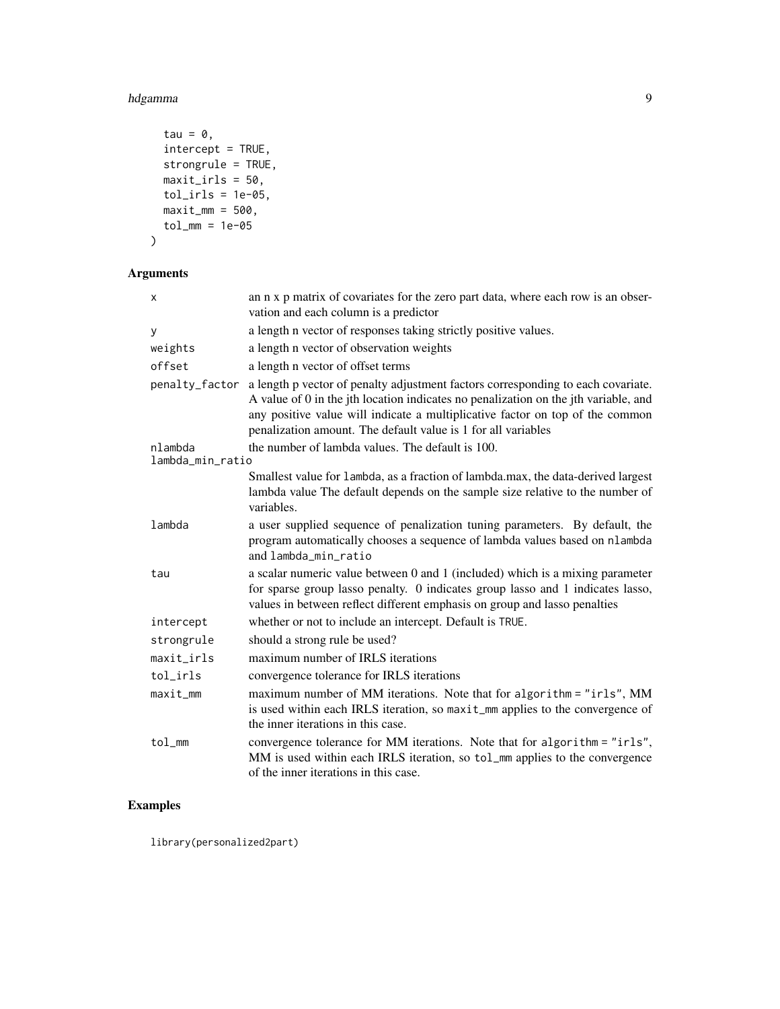hdgamma 9

```
tau = \theta,
  intercept = TRUE,
  strongrule = TRUE,
  maxit\_irls = 50,
  tol_irls = 1e-05,
  maxit\_mm = 500,tol_m = 1e-05\mathcal{L}
```
#### Arguments

| X                           | an n x p matrix of covariates for the zero part data, where each row is an obser-<br>vation and each column is a predictor                                                                                                                                                                                                |
|-----------------------------|---------------------------------------------------------------------------------------------------------------------------------------------------------------------------------------------------------------------------------------------------------------------------------------------------------------------------|
| У                           | a length n vector of responses taking strictly positive values.                                                                                                                                                                                                                                                           |
| weights                     | a length n vector of observation weights                                                                                                                                                                                                                                                                                  |
| offset                      | a length n vector of offset terms                                                                                                                                                                                                                                                                                         |
| penalty_factor              | a length p vector of penalty adjustment factors corresponding to each covariate.<br>A value of 0 in the jth location indicates no penalization on the jth variable, and<br>any positive value will indicate a multiplicative factor on top of the common<br>penalization amount. The default value is 1 for all variables |
| nlambda<br>lambda_min_ratio | the number of lambda values. The default is 100.                                                                                                                                                                                                                                                                          |
|                             | Smallest value for lambda, as a fraction of lambda.max, the data-derived largest<br>lambda value The default depends on the sample size relative to the number of<br>variables.                                                                                                                                           |
| lambda                      | a user supplied sequence of penalization tuning parameters. By default, the<br>program automatically chooses a sequence of lambda values based on nlambda<br>and lambda_min_ratio                                                                                                                                         |
| tau                         | a scalar numeric value between 0 and 1 (included) which is a mixing parameter<br>for sparse group lasso penalty. 0 indicates group lasso and 1 indicates lasso,<br>values in between reflect different emphasis on group and lasso penalties                                                                              |
| intercept                   | whether or not to include an intercept. Default is TRUE.                                                                                                                                                                                                                                                                  |
| strongrule                  | should a strong rule be used?                                                                                                                                                                                                                                                                                             |
| maxit_irls                  | maximum number of IRLS iterations                                                                                                                                                                                                                                                                                         |
| tol_irls                    | convergence tolerance for IRLS iterations                                                                                                                                                                                                                                                                                 |
| maxit_mm                    | maximum number of MM iterations. Note that for algorithm = "irls", MM<br>is used within each IRLS iteration, so maxit_mm applies to the convergence of<br>the inner iterations in this case.                                                                                                                              |
| tol                         | convergence tolerance for MM iterations. Note that for algorithm = "irls",<br>MM is used within each IRLS iteration, so tol_mm applies to the convergence<br>of the inner iterations in this case.                                                                                                                        |

### Examples

library(personalized2part)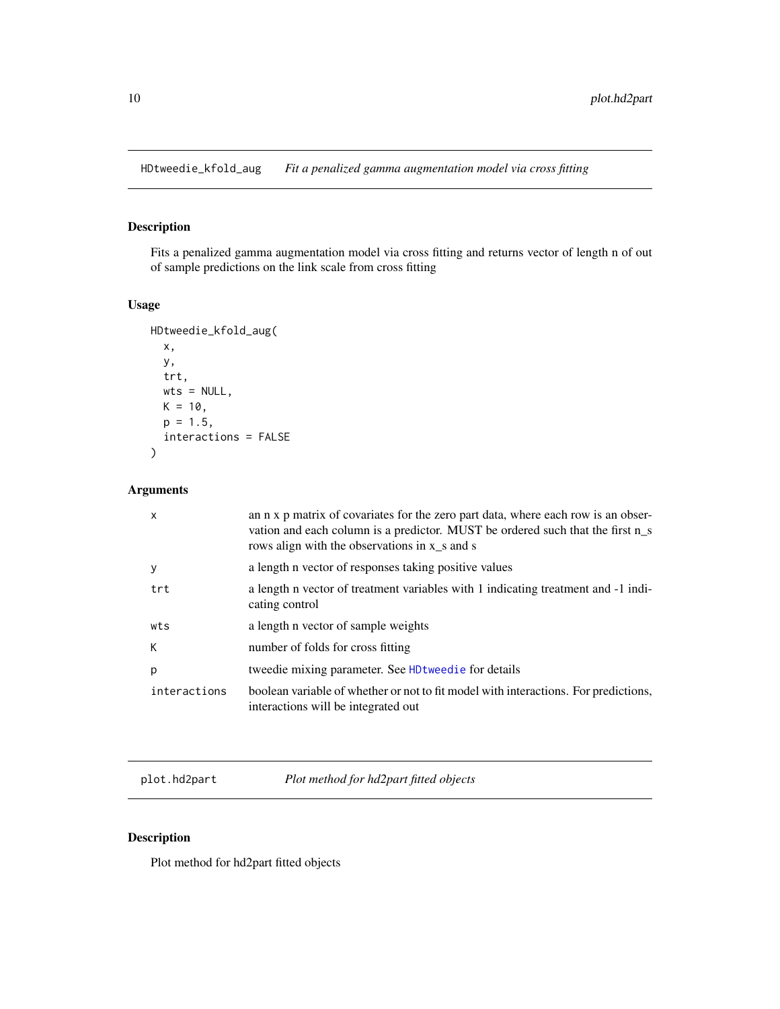<span id="page-9-0"></span>HDtweedie\_kfold\_aug *Fit a penalized gamma augmentation model via cross fitting*

#### Description

Fits a penalized gamma augmentation model via cross fitting and returns vector of length n of out of sample predictions on the link scale from cross fitting

#### Usage

```
HDtweedie_kfold_aug(
  x,
  y,
  trt,
 wts = NULL,K = 10,
 p = 1.5,
  interactions = FALSE
)
```
#### Arguments

| $\mathsf{x}$ | an n x p matrix of covariates for the zero part data, where each row is an obser-<br>vation and each column is a predictor. MUST be ordered such that the first n <sub>_s</sub><br>rows align with the observations in x_s and s |
|--------------|----------------------------------------------------------------------------------------------------------------------------------------------------------------------------------------------------------------------------------|
| y            | a length n vector of responses taking positive values                                                                                                                                                                            |
| trt          | a length n vector of treatment variables with 1 indicating treatment and -1 indi-<br>cating control                                                                                                                              |
| wts          | a length n vector of sample weights                                                                                                                                                                                              |
| K            | number of folds for cross fitting                                                                                                                                                                                                |
| p            | tweedie mixing parameter. See HD tweedie for details                                                                                                                                                                             |
| interactions | boolean variable of whether or not to fit model with interactions. For predictions,<br>interactions will be integrated out                                                                                                       |

plot.hd2part *Plot method for hd2part fitted objects*

#### Description

Plot method for hd2part fitted objects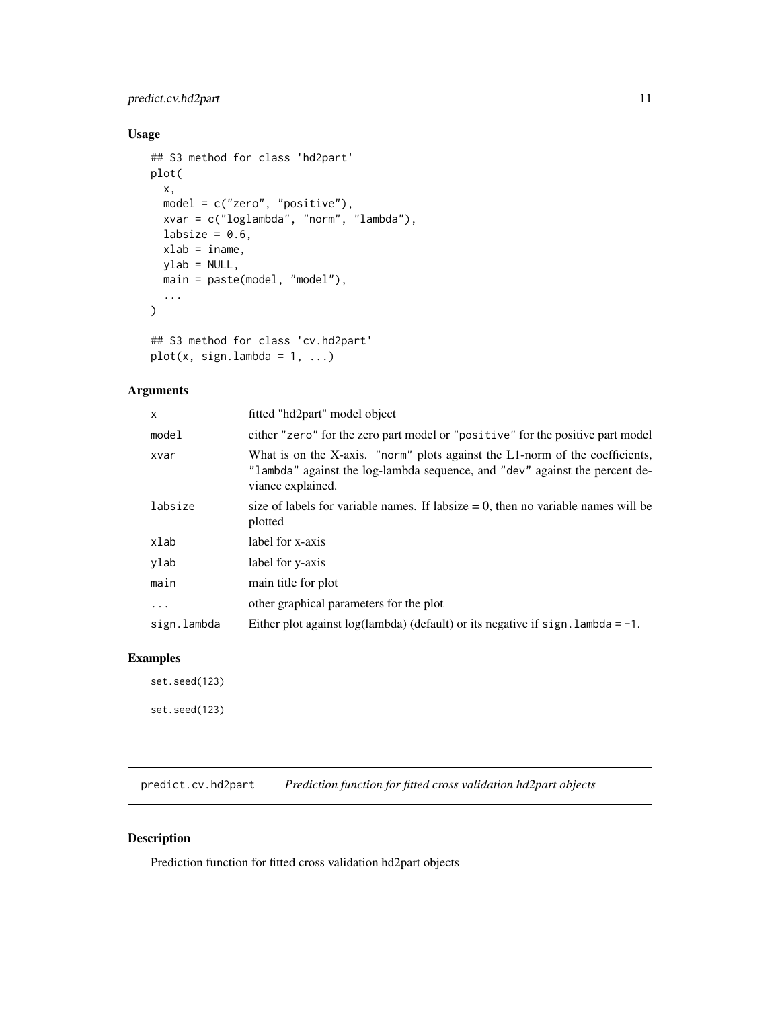#### <span id="page-10-0"></span>predict.cv.hd2part 11

#### Usage

```
## S3 method for class 'hd2part'
plot(
  x,
 model = c("zero", "positive"),
 xvar = c("loglambda", "norm", "lambda"),
 labsize = 0.6,
 xlab = iname,
 ylab = NULL,
 main = paste(model, "model"),
  ...
)
```

```
## S3 method for class 'cv.hd2part'
plot(x, sign.lambda = 1, ...)
```
#### Arguments

| X           | fitted "hd2part" model object                                                                                                                                                    |
|-------------|----------------------------------------------------------------------------------------------------------------------------------------------------------------------------------|
| model       | either "zero" for the zero part model or "positive" for the positive part model                                                                                                  |
| xvar        | What is on the X-axis. "norm" plots against the L1-norm of the coefficients,<br>"lambda" against the log-lambda sequence, and "dev" against the percent de-<br>viance explained. |
| labsize     | size of labels for variable names. If labsize $= 0$ , then no variable names will be<br>plotted                                                                                  |
| xlab        | label for x-axis                                                                                                                                                                 |
| ylab        | label for y-axis                                                                                                                                                                 |
| main        | main title for plot                                                                                                                                                              |
| $\cdots$    | other graphical parameters for the plot                                                                                                                                          |
| sign.lambda | Either plot against $log(lambda)$ (default) or its negative if sign. lambda = -1.                                                                                                |

#### Examples

set.seed(123)

set.seed(123)

predict.cv.hd2part *Prediction function for fitted cross validation hd2part objects*

#### Description

Prediction function for fitted cross validation hd2part objects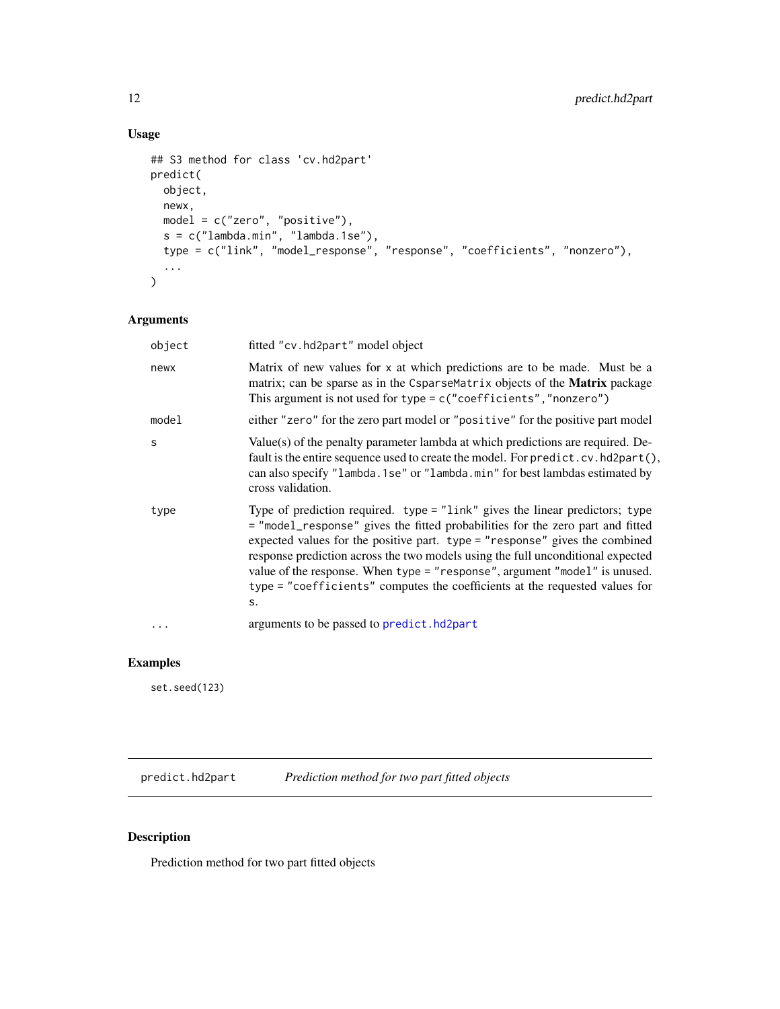```
## S3 method for class 'cv.hd2part'
predict(
 object,
 newx,
 model = c("zero", "positive"),
 s = c("lambda.min", "lambda.1se"),
 type = c("link", "model_response", "response", "coefficients", "nonzero"),
  ...
)
```
#### Arguments

| object   | fitted "cv.hd2part" model object                                                                                                                                                                                                                                                                                                                                                                                                                                                                    |
|----------|-----------------------------------------------------------------------------------------------------------------------------------------------------------------------------------------------------------------------------------------------------------------------------------------------------------------------------------------------------------------------------------------------------------------------------------------------------------------------------------------------------|
| newx     | Matrix of new values for x at which predictions are to be made. Must be a<br>matrix; can be sparse as in the CsparseMatrix objects of the <b>Matrix</b> package<br>This argument is not used for type = $c$ ("coefficients", "nonzero")                                                                                                                                                                                                                                                             |
| model    | either "zero" for the zero part model or "positive" for the positive part model                                                                                                                                                                                                                                                                                                                                                                                                                     |
| S        | Value(s) of the penalty parameter lambda at which predictions are required. De-<br>fault is the entire sequence used to create the model. For predict.cv.hd2part(),<br>can also specify "lambda. 1se" or "lambda. min" for best lambdas estimated by<br>cross validation.                                                                                                                                                                                                                           |
| type     | Type of prediction required. type = "link" gives the linear predictors; type<br>= "model_response" gives the fitted probabilities for the zero part and fitted<br>expected values for the positive part. type = "response" gives the combined<br>response prediction across the two models using the full unconditional expected<br>value of the response. When type = "response", argument "model" is unused.<br>type = "coefficients" computes the coefficients at the requested values for<br>s. |
| $\cdots$ | arguments to be passed to predict.hd2part                                                                                                                                                                                                                                                                                                                                                                                                                                                           |

#### Examples

set.seed(123)

<span id="page-11-1"></span>predict.hd2part *Prediction method for two part fitted objects*

#### Description

Prediction method for two part fitted objects

<span id="page-11-0"></span>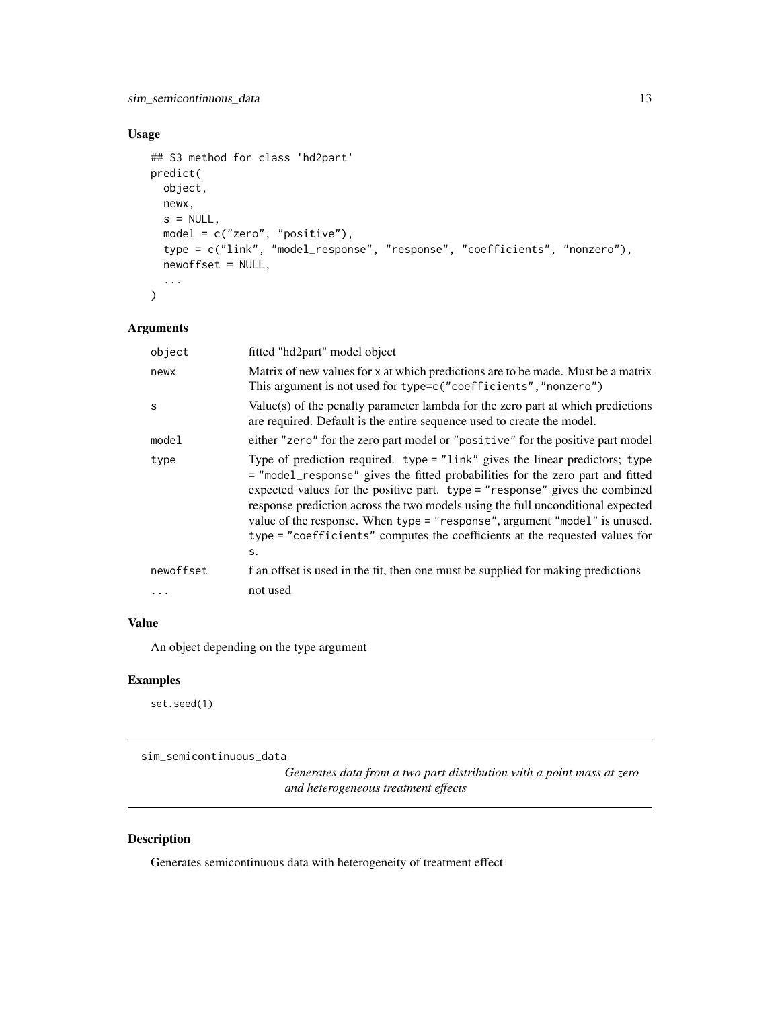```
## S3 method for class 'hd2part'
predict(
  object,
 newx,
  s = NULL,model = c("zero", "positive"),
  type = c("link", "model_response", "response", "coefficients", "nonzero"),
  newoffset = NULL,
  ...
)
```
#### Arguments

| object    | fitted "hd2part" model object                                                                                                                                                                                                                                                                                                                                                                                                                                                                           |
|-----------|---------------------------------------------------------------------------------------------------------------------------------------------------------------------------------------------------------------------------------------------------------------------------------------------------------------------------------------------------------------------------------------------------------------------------------------------------------------------------------------------------------|
| newx      | Matrix of new values for x at which predictions are to be made. Must be a matrix<br>This argument is not used for type=c("coefficients", "nonzero")                                                                                                                                                                                                                                                                                                                                                     |
| S         | Value(s) of the penalty parameter lambda for the zero part at which predictions<br>are required. Default is the entire sequence used to create the model.                                                                                                                                                                                                                                                                                                                                               |
| model     | either "zero" for the zero part model or "positive" for the positive part model                                                                                                                                                                                                                                                                                                                                                                                                                         |
| type      | Type of prediction required. type $=$ "link" gives the linear predictors; type<br>= "model_response" gives the fitted probabilities for the zero part and fitted<br>expected values for the positive part. type $=$ "response" gives the combined<br>response prediction across the two models using the full unconditional expected<br>value of the response. When type = "response", argument "model" is unused.<br>type = "coefficients" computes the coefficients at the requested values for<br>S. |
| newoffset | f an offset is used in the fit, then one must be supplied for making predictions                                                                                                                                                                                                                                                                                                                                                                                                                        |
| $\cdots$  | not used                                                                                                                                                                                                                                                                                                                                                                                                                                                                                                |

#### Value

An object depending on the type argument

#### Examples

set.seed(1)

sim\_semicontinuous\_data

*Generates data from a two part distribution with a point mass at zero and heterogeneous treatment effects*

#### Description

Generates semicontinuous data with heterogeneity of treatment effect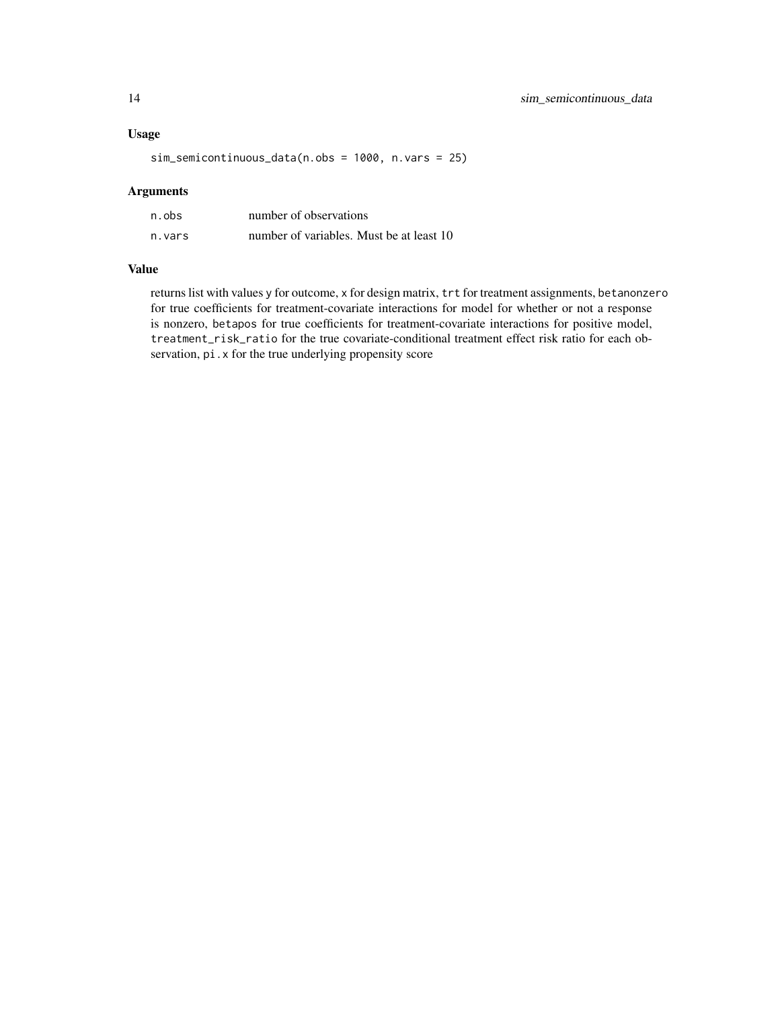sim\_semicontinuous\_data(n.obs = 1000, n.vars = 25)

#### Arguments

| n.obs  | number of observations                   |
|--------|------------------------------------------|
| n.vars | number of variables. Must be at least 10 |

#### Value

returns list with values y for outcome, x for design matrix, trt for treatment assignments, betanonzero for true coefficients for treatment-covariate interactions for model for whether or not a response is nonzero, betapos for true coefficients for treatment-covariate interactions for positive model, treatment\_risk\_ratio for the true covariate-conditional treatment effect risk ratio for each observation, pi.x for the true underlying propensity score